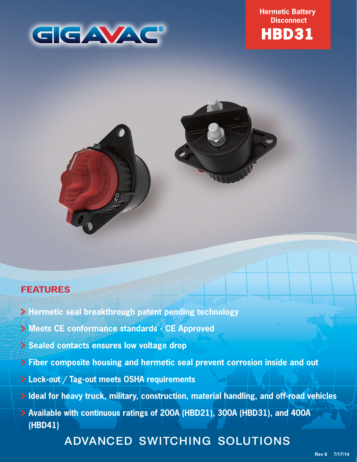

**Hermetic Battery Disconnect**





## **FEATURES**

- **Hermetic seal breakthrough patent pending technology**
- **Meets CE conformance standards CE Approved**
- **Sealed contacts ensures low voltage drop**
- **Fiber composite housing and hermetic seal prevent corrosion inside and out**
- **Lock-out / Tag-out meets OSHA requirements**
- **Ideal for heavy truck, military, construction, material handling, and off-road vehicles**
- **Available with continuous ratings of 200A (HBD21), 300A (HBD31), and 400A (HBD41)**

# ADVANCED SWITCHING SOLUTIONS